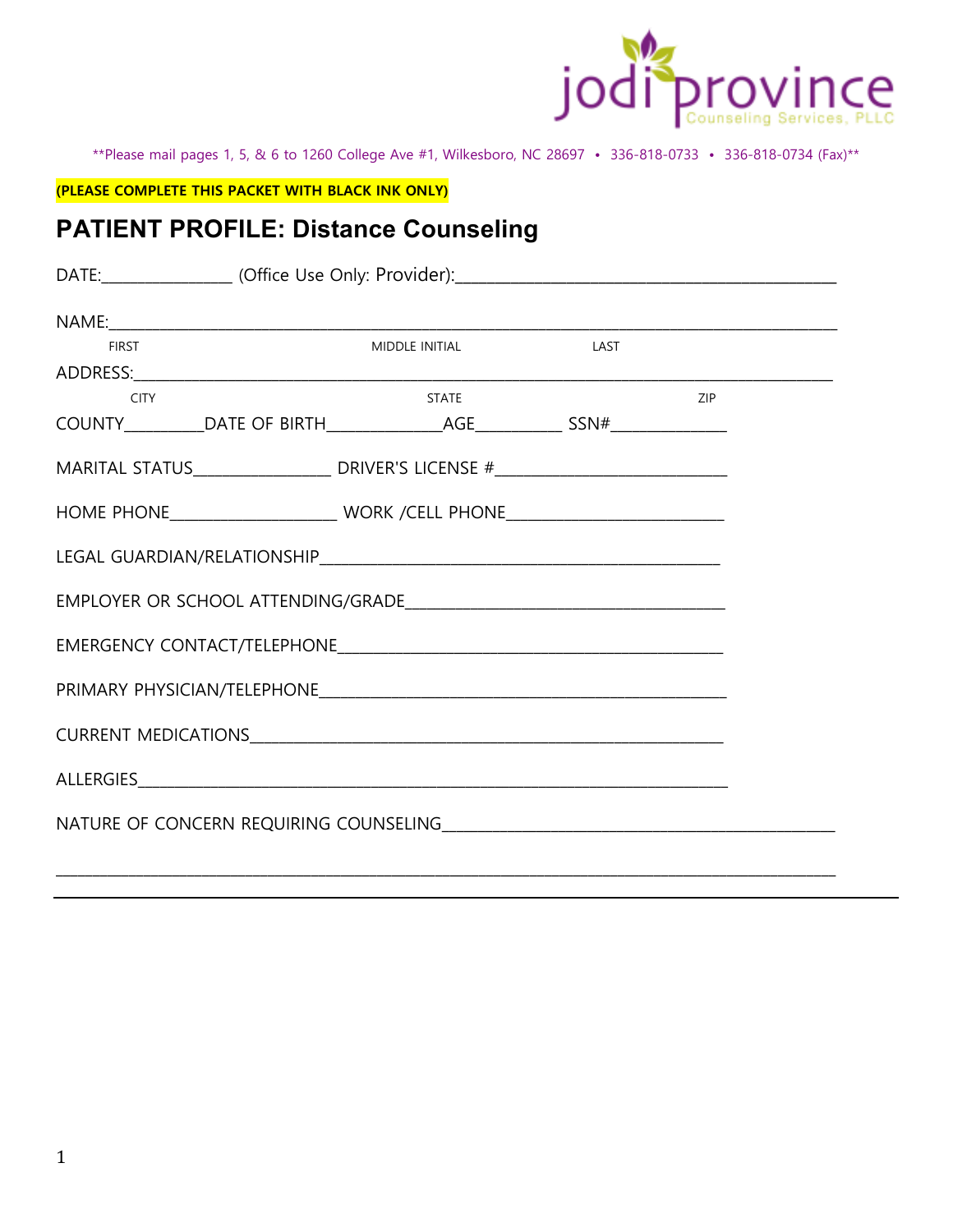

\*\*Please mail pages 1, 5, & 6 to 1260 College Ave #1, Wilkesboro, NC 28697 • 336-818-0733 • 336-818-0734 (Fax)\*\*

**(PLEASE COMPLETE THIS PACKET WITH BLACK INK ONLY)** 

## **PATIENT PROFILE: Distance Counseling**

| <b>FIRST</b>                                                                             | MIDDLE INITIAL LAST |  |     |  |  |  |
|------------------------------------------------------------------------------------------|---------------------|--|-----|--|--|--|
|                                                                                          |                     |  |     |  |  |  |
| <b>CITY</b>                                                                              | <b>STATE</b>        |  | ZIP |  |  |  |
|                                                                                          |                     |  |     |  |  |  |
| MARITAL STATUS__________________________ DRIVER'S LICENSE #_____________________________ |                     |  |     |  |  |  |
|                                                                                          |                     |  |     |  |  |  |
|                                                                                          |                     |  |     |  |  |  |
|                                                                                          |                     |  |     |  |  |  |
|                                                                                          |                     |  |     |  |  |  |
|                                                                                          |                     |  |     |  |  |  |
|                                                                                          |                     |  |     |  |  |  |
|                                                                                          |                     |  |     |  |  |  |
|                                                                                          |                     |  |     |  |  |  |

\_\_\_\_\_\_\_\_\_\_\_\_\_\_\_\_\_\_\_\_\_\_\_\_\_\_\_\_\_\_\_\_\_\_\_\_\_\_\_\_\_\_\_\_\_\_\_\_\_\_\_\_\_\_\_\_\_\_\_\_\_\_\_\_\_\_\_\_\_\_\_\_\_\_\_\_\_\_\_\_\_\_\_\_\_\_\_\_\_\_\_\_\_\_\_\_\_\_\_\_\_\_\_\_\_\_\_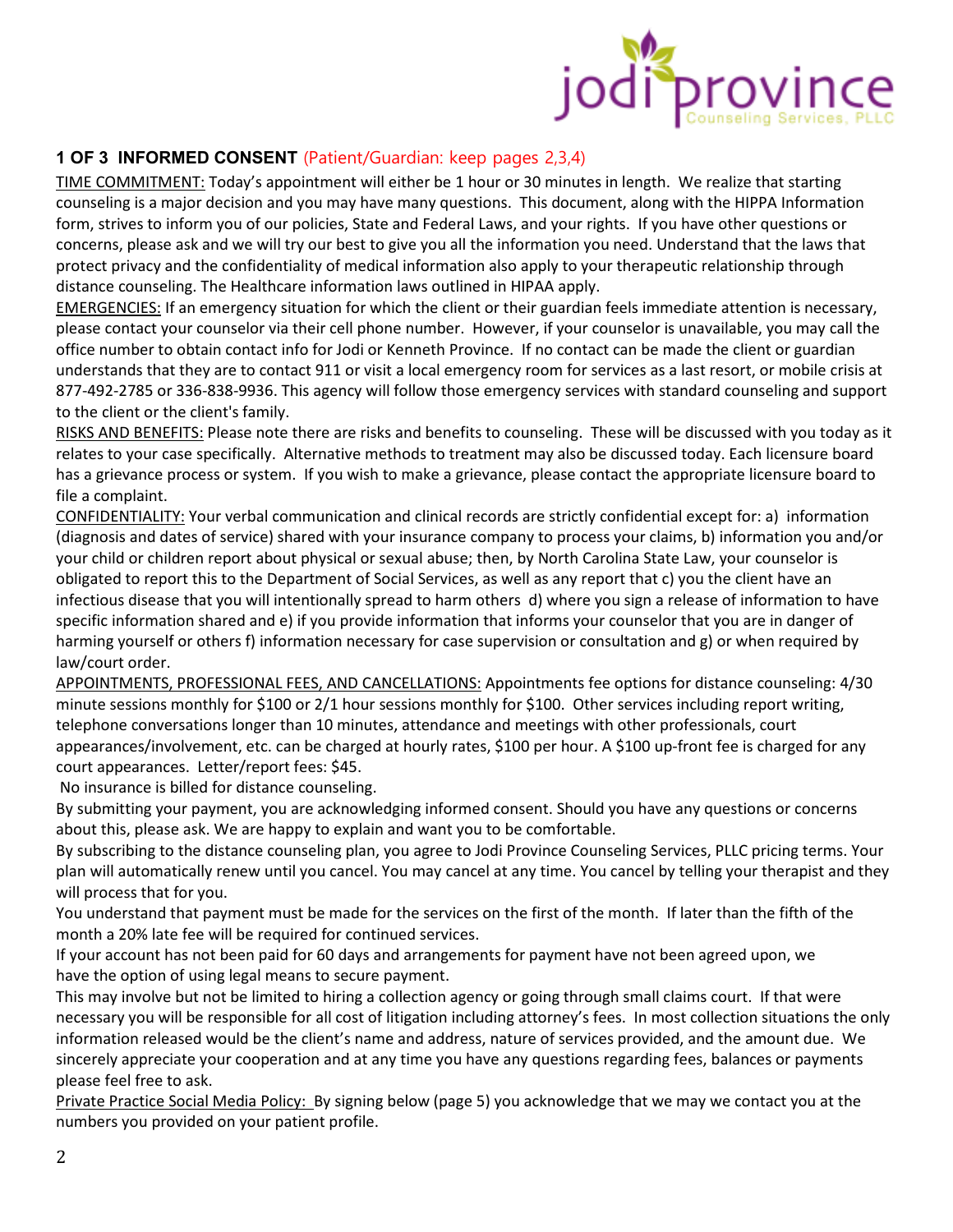

### **1 OF 3 INFORMED CONSENT** (Patient/Guardian: keep pages 2,3,4)

TIME COMMITMENT: Today's appointment will either be 1 hour or 30 minutes in length. We realize that starting counseling is a major decision and you may have many questions. This document, along with the HIPPA Information form, strives to inform you of our policies, State and Federal Laws, and your rights. If you have other questions or concerns, please ask and we will try our best to give you all the information you need. Understand that the laws that protect privacy and the confidentiality of medical information also apply to your therapeutic relationship through distance counseling. The Healthcare information laws outlined in HIPAA apply.

EMERGENCIES: If an emergency situation for which the client or their guardian feels immediate attention is necessary, please contact your counselor via their cell phone number. However, if your counselor is unavailable, you may call the office number to obtain contact info for Jodi or Kenneth Province. If no contact can be made the client or guardian understands that they are to contact 911 or visit a local emergency room for services as a last resort, or mobile crisis at 877-492-2785 or 336-838-9936. This agency will follow those emergency services with standard counseling and support to the client or the client's family.

RISKS AND BENEFITS: Please note there are risks and benefits to counseling. These will be discussed with you today as it relates to your case specifically. Alternative methods to treatment may also be discussed today. Each licensure board has a grievance process or system. If you wish to make a grievance, please contact the appropriate licensure board to file a complaint.

CONFIDENTIALITY: Your verbal communication and clinical records are strictly confidential except for: a) information (diagnosis and dates of service) shared with your insurance company to process your claims, b) information you and/or your child or children report about physical or sexual abuse; then, by North Carolina State Law, your counselor is obligated to report this to the Department of Social Services, as well as any report that c) you the client have an infectious disease that you will intentionally spread to harm others d) where you sign a release of information to have specific information shared and e) if you provide information that informs your counselor that you are in danger of harming yourself or others f) information necessary for case supervision or consultation and g) or when required by law/court order.

APPOINTMENTS, PROFESSIONAL FEES, AND CANCELLATIONS: Appointments fee options for distance counseling: 4/30 minute sessions monthly for \$100 or 2/1 hour sessions monthly for \$100. Other services including report writing, telephone conversations longer than 10 minutes, attendance and meetings with other professionals, court appearances/involvement, etc. can be charged at hourly rates, \$100 per hour. A \$100 up-front fee is charged for any court appearances. Letter/report fees: \$45.

No insurance is billed for distance counseling.

By submitting your payment, you are acknowledging informed consent. Should you have any questions or concerns about this, please ask. We are happy to explain and want you to be comfortable.

By subscribing to the distance counseling plan, you agree to Jodi Province Counseling Services, PLLC pricing terms. Your plan will automatically renew until you cancel. You may cancel at any time. You cancel by telling your therapist and they will process that for you.

You understand that payment must be made for the services on the first of the month. If later than the fifth of the month a 20% late fee will be required for continued services.

If your account has not been paid for 60 days and arrangements for payment have not been agreed upon, we have the option of using legal means to secure payment.

This may involve but not be limited to hiring a collection agency or going through small claims court. If that were necessary you will be responsible for all cost of litigation including attorney's fees. In most collection situations the only information released would be the client's name and address, nature of services provided, and the amount due. We sincerely appreciate your cooperation and at any time you have any questions regarding fees, balances or payments please feel free to ask.

Private Practice Social Media Policy: By signing below (page 5) you acknowledge that we may we contact you at the numbers you provided on your patient profile.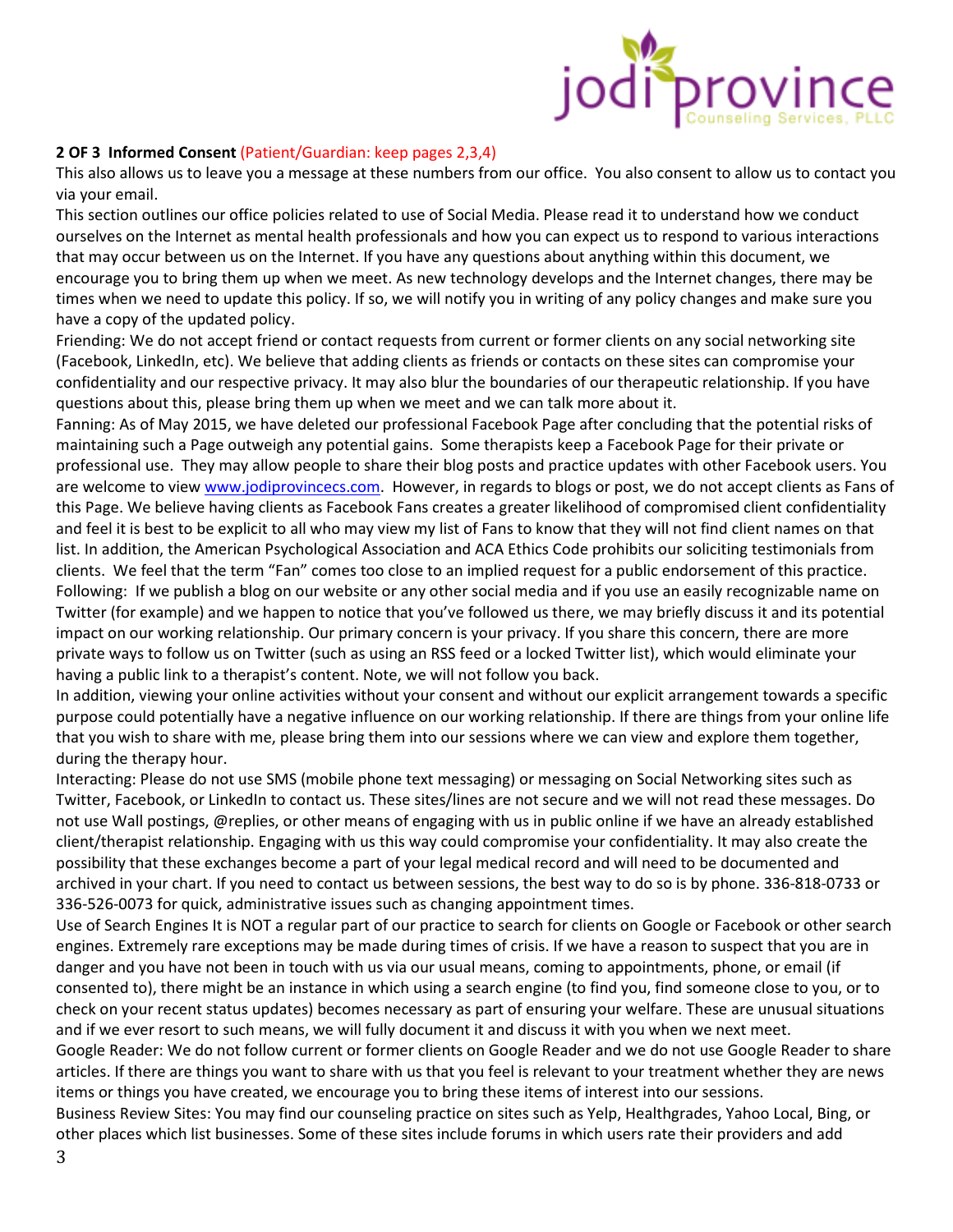

#### **2 OF 3 Informed Consent** (Patient/Guardian: keep pages 2,3,4)

This also allows us to leave you a message at these numbers from our office. You also consent to allow us to contact you via your email.

This section outlines our office policies related to use of Social Media. Please read it to understand how we conduct ourselves on the Internet as mental health professionals and how you can expect us to respond to various interactions that may occur between us on the Internet. If you have any questions about anything within this document, we encourage you to bring them up when we meet. As new technology develops and the Internet changes, there may be times when we need to update this policy. If so, we will notify you in writing of any policy changes and make sure you have a copy of the updated policy.

Friending: We do not accept friend or contact requests from current or former clients on any social networking site (Facebook, LinkedIn, etc). We believe that adding clients as friends or contacts on these sites can compromise your confidentiality and our respective privacy. It may also blur the boundaries of our therapeutic relationship. If you have questions about this, please bring them up when we meet and we can talk more about it.

Fanning: As of May 2015, we have deleted our professional Facebook Page after concluding that the potential risks of maintaining such a Page outweigh any potential gains. Some therapists keep a Facebook Page for their private or professional use. They may allow people to share their blog posts and practice updates with other Facebook users. You are welcome to view www.jodiprovincecs.com. However, in regards to blogs or post, we do not accept clients as Fans of this Page. We believe having clients as Facebook Fans creates a greater likelihood of compromised client confidentiality and feel it is best to be explicit to all who may view my list of Fans to know that they will not find client names on that list. In addition, the American Psychological Association and ACA Ethics Code prohibits our soliciting testimonials from clients. We feel that the term "Fan" comes too close to an implied request for a public endorsement of this practice. Following: If we publish a blog on our website or any other social media and if you use an easily recognizable name on Twitter (for example) and we happen to notice that you've followed us there, we may briefly discuss it and its potential impact on our working relationship. Our primary concern is your privacy. If you share this concern, there are more private ways to follow us on Twitter (such as using an RSS feed or a locked Twitter list), which would eliminate your having a public link to a therapist's content. Note, we will not follow you back.

In addition, viewing your online activities without your consent and without our explicit arrangement towards a specific purpose could potentially have a negative influence on our working relationship. If there are things from your online life that you wish to share with me, please bring them into our sessions where we can view and explore them together, during the therapy hour.

Interacting: Please do not use SMS (mobile phone text messaging) or messaging on Social Networking sites such as Twitter, Facebook, or LinkedIn to contact us. These sites/lines are not secure and we will not read these messages. Do not use Wall postings, @replies, or other means of engaging with us in public online if we have an already established client/therapist relationship. Engaging with us this way could compromise your confidentiality. It may also create the possibility that these exchanges become a part of your legal medical record and will need to be documented and archived in your chart. If you need to contact us between sessions, the best way to do so is by phone. 336-818-0733 or 336-526-0073 for quick, administrative issues such as changing appointment times.

Use of Search Engines It is NOT a regular part of our practice to search for clients on Google or Facebook or other search engines. Extremely rare exceptions may be made during times of crisis. If we have a reason to suspect that you are in danger and you have not been in touch with us via our usual means, coming to appointments, phone, or email (if consented to), there might be an instance in which using a search engine (to find you, find someone close to you, or to check on your recent status updates) becomes necessary as part of ensuring your welfare. These are unusual situations and if we ever resort to such means, we will fully document it and discuss it with you when we next meet.

Google Reader: We do not follow current or former clients on Google Reader and we do not use Google Reader to share articles. If there are things you want to share with us that you feel is relevant to your treatment whether they are news items or things you have created, we encourage you to bring these items of interest into our sessions.

Business Review Sites: You may find our counseling practice on sites such as Yelp, Healthgrades, Yahoo Local, Bing, or other places which list businesses. Some of these sites include forums in which users rate their providers and add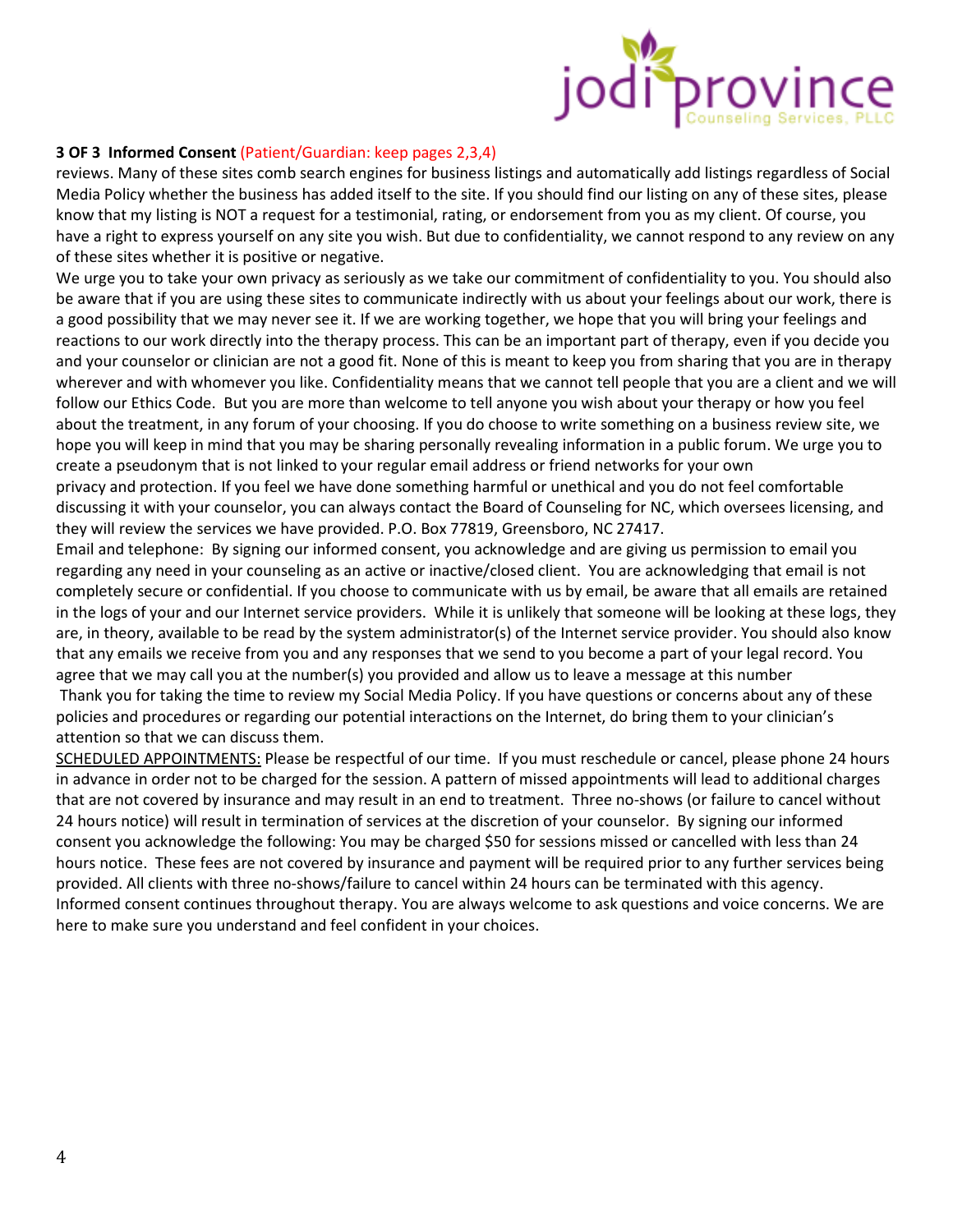

#### **3 OF 3 Informed Consent** (Patient/Guardian: keep pages 2,3,4)

reviews. Many of these sites comb search engines for business listings and automatically add listings regardless of Social Media Policy whether the business has added itself to the site. If you should find our listing on any of these sites, please know that my listing is NOT a request for a testimonial, rating, or endorsement from you as my client. Of course, you have a right to express yourself on any site you wish. But due to confidentiality, we cannot respond to any review on any of these sites whether it is positive or negative.

We urge you to take your own privacy as seriously as we take our commitment of confidentiality to you. You should also be aware that if you are using these sites to communicate indirectly with us about your feelings about our work, there is a good possibility that we may never see it. If we are working together, we hope that you will bring your feelings and reactions to our work directly into the therapy process. This can be an important part of therapy, even if you decide you and your counselor or clinician are not a good fit. None of this is meant to keep you from sharing that you are in therapy wherever and with whomever you like. Confidentiality means that we cannot tell people that you are a client and we will follow our Ethics Code. But you are more than welcome to tell anyone you wish about your therapy or how you feel about the treatment, in any forum of your choosing. If you do choose to write something on a business review site, we hope you will keep in mind that you may be sharing personally revealing information in a public forum. We urge you to create a pseudonym that is not linked to your regular email address or friend networks for your own privacy and protection. If you feel we have done something harmful or unethical and you do not feel comfortable discussing it with your counselor, you can always contact the Board of Counseling for NC, which oversees licensing, and they will review the services we have provided. P.O. Box 77819, Greensboro, NC 27417.

Email and telephone: By signing our informed consent, you acknowledge and are giving us permission to email you regarding any need in your counseling as an active or inactive/closed client. You are acknowledging that email is not completely secure or confidential. If you choose to communicate with us by email, be aware that all emails are retained in the logs of your and our Internet service providers. While it is unlikely that someone will be looking at these logs, they are, in theory, available to be read by the system administrator(s) of the Internet service provider. You should also know that any emails we receive from you and any responses that we send to you become a part of your legal record. You agree that we may call you at the number(s) you provided and allow us to leave a message at this number

 Thank you for taking the time to review my Social Media Policy. If you have questions or concerns about any of these policies and procedures or regarding our potential interactions on the Internet, do bring them to your clinician's attention so that we can discuss them.

SCHEDULED APPOINTMENTS: Please be respectful of our time. If you must reschedule or cancel, please phone 24 hours in advance in order not to be charged for the session. A pattern of missed appointments will lead to additional charges that are not covered by insurance and may result in an end to treatment. Three no-shows (or failure to cancel without 24 hours notice) will result in termination of services at the discretion of your counselor. By signing our informed consent you acknowledge the following: You may be charged \$50 for sessions missed or cancelled with less than 24 hours notice. These fees are not covered by insurance and payment will be required prior to any further services being provided. All clients with three no-shows/failure to cancel within 24 hours can be terminated with this agency. Informed consent continues throughout therapy. You are always welcome to ask questions and voice concerns. We are here to make sure you understand and feel confident in your choices.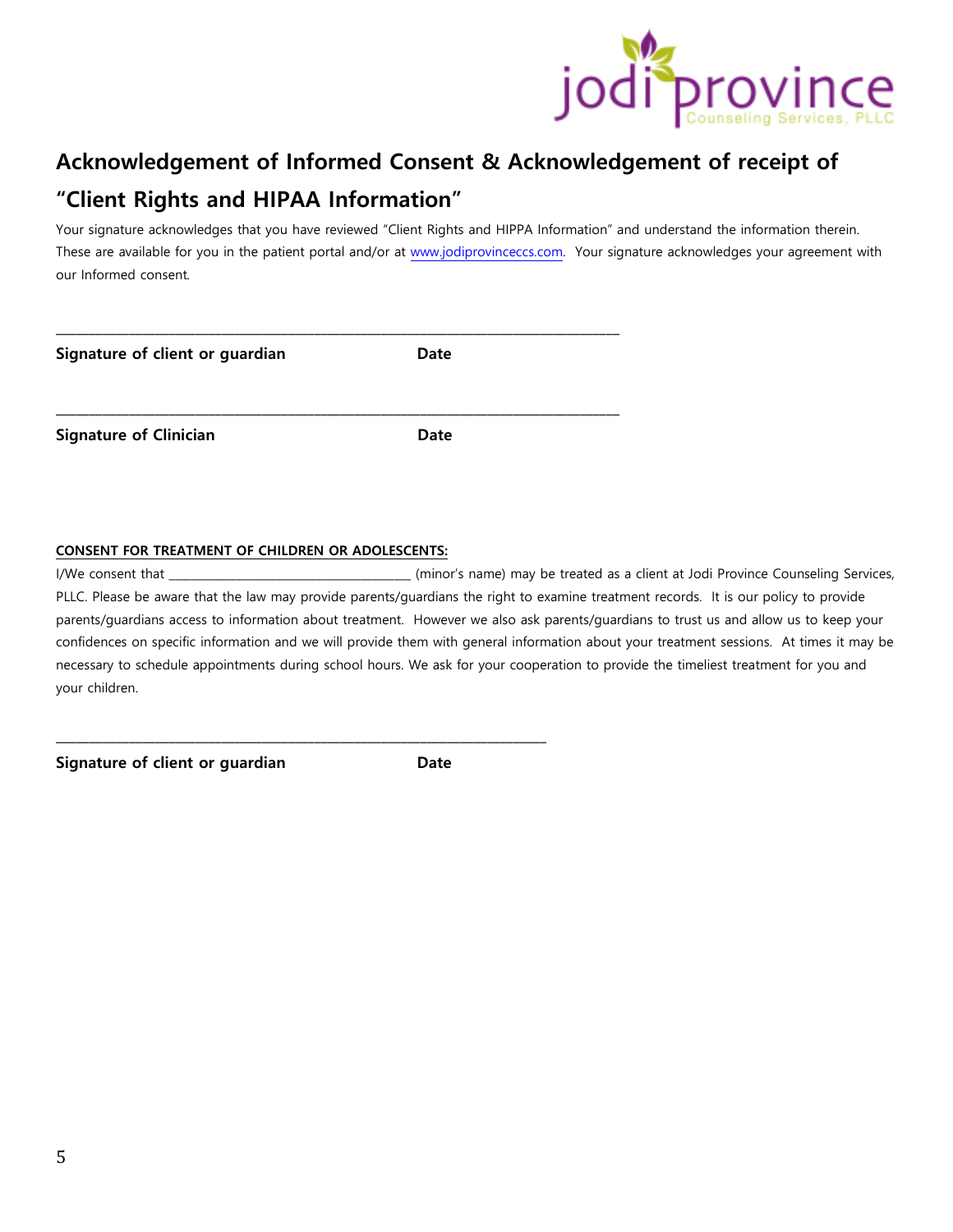

# **Acknowledgement of Informed Consent & Acknowledgement of receipt of "Client Rights and HIPAA Information"**

Your signature acknowledges that you have reviewed "Client Rights and HIPPA Information" and understand the information therein. These are available for you in the patient portal and/or at www.jodiprovinceccs.com. Your signature acknowledges your agreement with our Informed consent.

| Signature of client or guardian | Date |  |
|---------------------------------|------|--|
| <b>Signature of Clinician</b>   | Date |  |

#### **CONSENT FOR TREATMENT OF CHILDREN OR ADOLESCENTS:**

**\_\_\_\_\_\_\_\_\_\_\_\_\_\_\_\_\_\_\_\_\_\_\_\_\_\_\_\_\_\_\_\_\_\_\_\_\_\_\_\_\_\_\_\_\_\_\_\_\_\_\_\_\_\_\_\_\_\_\_\_\_\_\_\_\_\_\_\_\_\_\_\_\_\_** 

I/We consent that \_\_\_\_\_\_\_\_\_\_\_\_\_\_\_\_\_\_\_\_\_\_\_\_\_\_\_\_\_\_\_\_\_\_\_\_\_\_\_\_\_\_\_ (minor's name) may be treated as a client at Jodi Province Counseling Services, PLLC. Please be aware that the law may provide parents/guardians the right to examine treatment records. It is our policy to provide parents/guardians access to information about treatment. However we also ask parents/guardians to trust us and allow us to keep your confidences on specific information and we will provide them with general information about your treatment sessions. At times it may be necessary to schedule appointments during school hours. We ask for your cooperation to provide the timeliest treatment for you and your children.

**Signature of client or guardian Date**